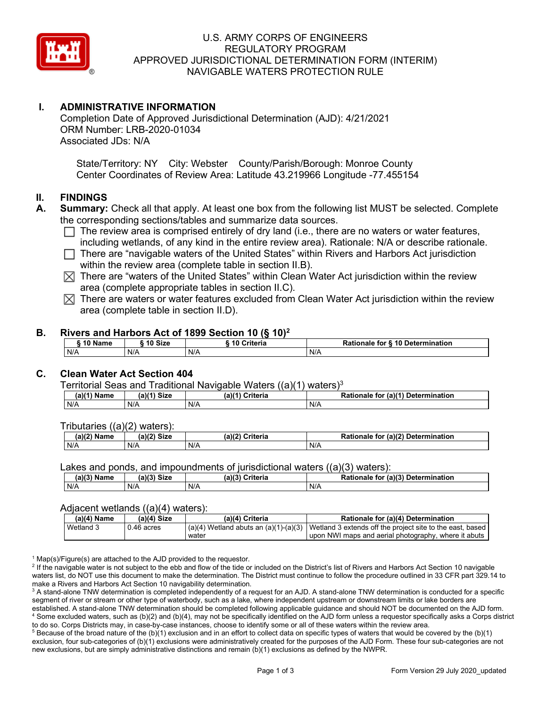

## U.S. ARMY CORPS OF ENGINEERS REGULATORY PROGRAM APPROVED JURISDICTIONAL DETERMINATION FORM (INTERIM) NAVIGABLE WATERS PROTECTION RULE

# **I. ADMINISTRATIVE INFORMATION**

Completion Date of Approved Jurisdictional Determination (AJD): 4/21/2021 ORM Number: LRB-2020-01034 Associated JDs: N/A

State/Territory: NY City: Webster County/Parish/Borough: Monroe County Center Coordinates of Review Area: Latitude 43.219966 Longitude -77.455154

### **II. FINDINGS**

- **A. Summary:** Check all that apply. At least one box from the following list MUST be selected. Complete the corresponding sections/tables and summarize data sources.
	- $\Box$  The review area is comprised entirely of dry land (i.e., there are no waters or water features, including wetlands, of any kind in the entire review area). Rationale: N/A or describe rationale.
	- $\Box$  There are "navigable waters of the United States" within Rivers and Harbors Act jurisdiction within the review area (complete table in section II.B).
	- $\boxtimes$  There are "waters of the United States" within Clean Water Act jurisdiction within the review area (complete appropriate tables in section II.C).
	- $\boxtimes$  There are waters or water features excluded from Clean Water Act jurisdiction within the review area (complete table in section II.D).

#### **B. Rivers and Harbors Act of 1899 Section 10 (§ 10)2**

|     | ົ 10 Name | ົ 10 Size | Criteria<br>. 1 U | Rationale for § 10 Determination |  |  |
|-----|-----------|-----------|-------------------|----------------------------------|--|--|
| N/A | N/A       |           | N/A               | N/A                              |  |  |

# **C. Clean Water Act Section 404**

Territorial Seas and Traditional Navigable Waters  $((a)(1)$  waters)<sup>3</sup>

| $(a)(1)$ $^{\prime\prime}$<br>Name | $(a)$ $(1)$<br>Size | $(a)$ $(4)$<br>Criteria | (a)(1) Determination<br>Rationale<br>for |
|------------------------------------|---------------------|-------------------------|------------------------------------------|
| N/A                                | N/A                 | N/A                     | N/A                                      |

Tributaries ((a)(2) waters):

| ۱/۵۱<br>Name | $\mathbf{M}$<br>$C:=$<br>эн.<br><b>DILL</b> | 100<br>`ritoria<br>'a)í.<br>ilerid | $\cdot$ (a)( $\sim$<br><b>Determination</b><br>.<br>aır |
|--------------|---------------------------------------------|------------------------------------|---------------------------------------------------------|
| N/A          | N/A                                         | N/A                                | N/A                                                     |

Lakes and ponds, and impoundments of jurisdictional waters  $((a)(3)$  waters):

| <b>Name</b> | <b>Size</b><br>(a)/2 | -1191<br>ີ riteria | (a)(3) Determination<br>Pationale<br>for |  |
|-------------|----------------------|--------------------|------------------------------------------|--|
| N/A         | N/A                  | N/A                | N/A                                      |  |

#### Adjacent wetlands ((a)(4) waters):

| (a)(4) Name | $(a)(4)$ Size | (a)(4) Criteria | Rationale for (a)(4) Determination                                                                  |
|-------------|---------------|-----------------|-----------------------------------------------------------------------------------------------------|
| Wetland 3   | $0.46$ acres  |                 | $(a)(4)$ Wetland abuts an $(a)(1)-(a)(3)$ Wetland 3 extends off the project site to the east, based |
|             |               | water           | upon NWI maps and aerial photography, where it abuts                                                |

 $1$  Map(s)/Figure(s) are attached to the AJD provided to the requestor.

<sup>2</sup> If the navigable water is not subject to the ebb and flow of the tide or included on the District's list of Rivers and Harbors Act Section 10 navigable waters list, do NOT use this document to make the determination. The District must continue to follow the procedure outlined in 33 CFR part 329.14 to make a Rivers and Harbors Act Section 10 navigability determination.

<sup>3</sup> A stand-alone TNW determination is completed independently of a request for an AJD. A stand-alone TNW determination is conducted for a specific segment of river or stream or other type of waterbody, such as a lake, where independent upstream or downstream limits or lake borders are established. A stand-alone TNW determination should be completed following applicable guidance and should NOT be documented on the AJD form. <sup>4</sup> Some excluded waters, such as (b)(2) and (b)(4), may not be specifically identified on the AJD form unless a requestor specifically asks a Corps district to do so. Corps Districts may, in case-by-case instances, choose to identify some or all of these waters within the review area.

 $5$  Because of the broad nature of the (b)(1) exclusion and in an effort to collect data on specific types of waters that would be covered by the (b)(1) exclusion, four sub-categories of (b)(1) exclusions were administratively created for the purposes of the AJD Form. These four sub-categories are not new exclusions, but are simply administrative distinctions and remain (b)(1) exclusions as defined by the NWPR.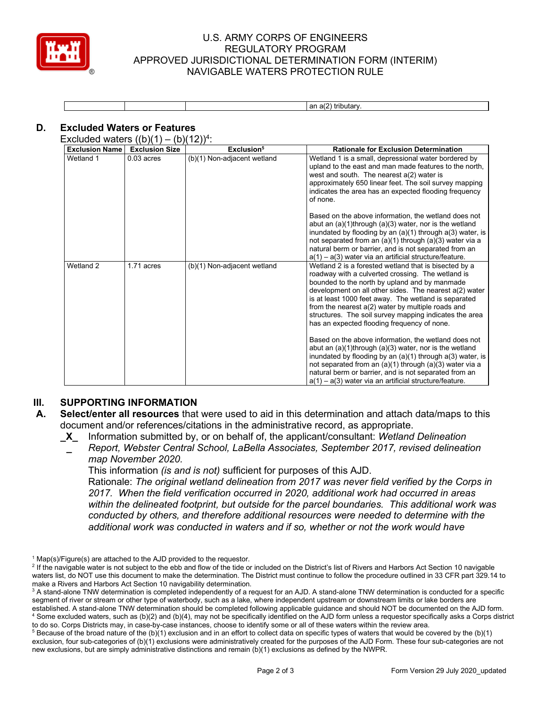

### U.S. ARMY CORPS OF ENGINEERS REGULATORY PROGRAM APPROVED JURISDICTIONAL DETERMINATION FORM (INTERIM) NAVIGABLE WATERS PROTECTION RULE

|  | $\sim$<br>. .<br>$-$                     |  |
|--|------------------------------------------|--|
|  | $\sim$<br>⊧tributarv<br>aı.<br><b>пш</b> |  |
|  |                                          |  |

# **D. Excluded Waters or Features**

Excluded waters  $((b)(1) - (b)(12))^4$ :

| <b>Exclusion Name</b> | <b>Exclusion Size</b> | Exclusion <sup>5</sup>      | <b>Rationale for Exclusion Determination</b>                                                                                                                                                                                                                                                                                                                                                                                                  |
|-----------------------|-----------------------|-----------------------------|-----------------------------------------------------------------------------------------------------------------------------------------------------------------------------------------------------------------------------------------------------------------------------------------------------------------------------------------------------------------------------------------------------------------------------------------------|
| Wetland 1             | $0.03$ acres          | (b)(1) Non-adjacent wetland | Wetland 1 is a small, depressional water bordered by<br>upland to the east and man made features to the north,<br>west and south. The nearest $a(2)$ water is<br>approximately 650 linear feet. The soil survey mapping<br>indicates the area has an expected flooding frequency<br>of none.                                                                                                                                                  |
|                       |                       |                             | Based on the above information, the wetland does not<br>abut an $(a)(1)$ through $(a)(3)$ water, nor is the wetland<br>inundated by flooding by an $(a)(1)$ through $a(3)$ water, is<br>not separated from an $(a)(1)$ through $(a)(3)$ water via a<br>natural berm or barrier, and is not separated from an<br>$a(1) - a(3)$ water via an artificial structure/feature.                                                                      |
| Wetland 2             | 1.71 acres            | (b)(1) Non-adjacent wetland | Wetland 2 is a forested wetland that is bisected by a<br>roadway with a culverted crossing. The wetland is<br>bounded to the north by upland and by manmade<br>development on all other sides. The nearest a(2) water<br>is at least 1000 feet away. The wetland is separated<br>from the nearest $a(2)$ water by multiple roads and<br>structures. The soil survey mapping indicates the area<br>has an expected flooding frequency of none. |
|                       |                       |                             | Based on the above information, the wetland does not<br>abut an $(a)(1)$ through $(a)(3)$ water, nor is the wetland<br>inundated by flooding by an $(a)(1)$ through $a(3)$ water, is<br>not separated from an $(a)(1)$ through $(a)(3)$ water via a<br>natural berm or barrier, and is not separated from an<br>$a(1) - a(3)$ water via an artificial structure/feature.                                                                      |

#### **III. SUPPORTING INFORMATION**

- **A. Select/enter all resources** that were used to aid in this determination and attach data/maps to this document and/or references/citations in the administrative record, as appropriate.
	- **\_X\_** Information submitted by, or on behalf of, the applicant/consultant: *Wetland Delineation* 
		- **\_**  *Report, Webster Central School, LaBella Associates, September 2017, revised delineation map November 2020.*

This information *(is and is not)* sufficient for purposes of this AJD.

Rationale: *The original wetland delineation from 2017 was never field verified by the Corps in 2017. When the field verification occurred in 2020, additional work had occurred in areas within the delineated footprint, but outside for the parcel boundaries. This additional work was conducted by others, and therefore additional resources were needed to determine with the additional work was conducted in waters and if so, whether or not the work would have* 

 $1$  Map(s)/Figure(s) are attached to the AJD provided to the requestor.

<sup>&</sup>lt;sup>2</sup> If the navigable water is not subject to the ebb and flow of the tide or included on the District's list of Rivers and Harbors Act Section 10 navigable waters list, do NOT use this document to make the determination. The District must continue to follow the procedure outlined in 33 CFR part 329.14 to make a Rivers and Harbors Act Section 10 navigability determination.

<sup>&</sup>lt;sup>3</sup> A stand-alone TNW determination is completed independently of a request for an AJD. A stand-alone TNW determination is conducted for a specific segment of river or stream or other type of waterbody, such as a lake, where independent upstream or downstream limits or lake borders are established. A stand-alone TNW determination should be completed following applicable guidance and should NOT be documented on the AJD form. <sup>4</sup> Some excluded waters, such as (b)(2) and (b)(4), may not be specifically identified on the AJD form unless a requestor specifically asks a Corps district to do so. Corps Districts may, in case-by-case instances, choose to identify some or all of these waters within the review area.

 $5$  Because of the broad nature of the (b)(1) exclusion and in an effort to collect data on specific types of waters that would be covered by the (b)(1) exclusion, four sub-categories of (b)(1) exclusions were administratively created for the purposes of the AJD Form. These four sub-categories are not new exclusions, but are simply administrative distinctions and remain (b)(1) exclusions as defined by the NWPR.